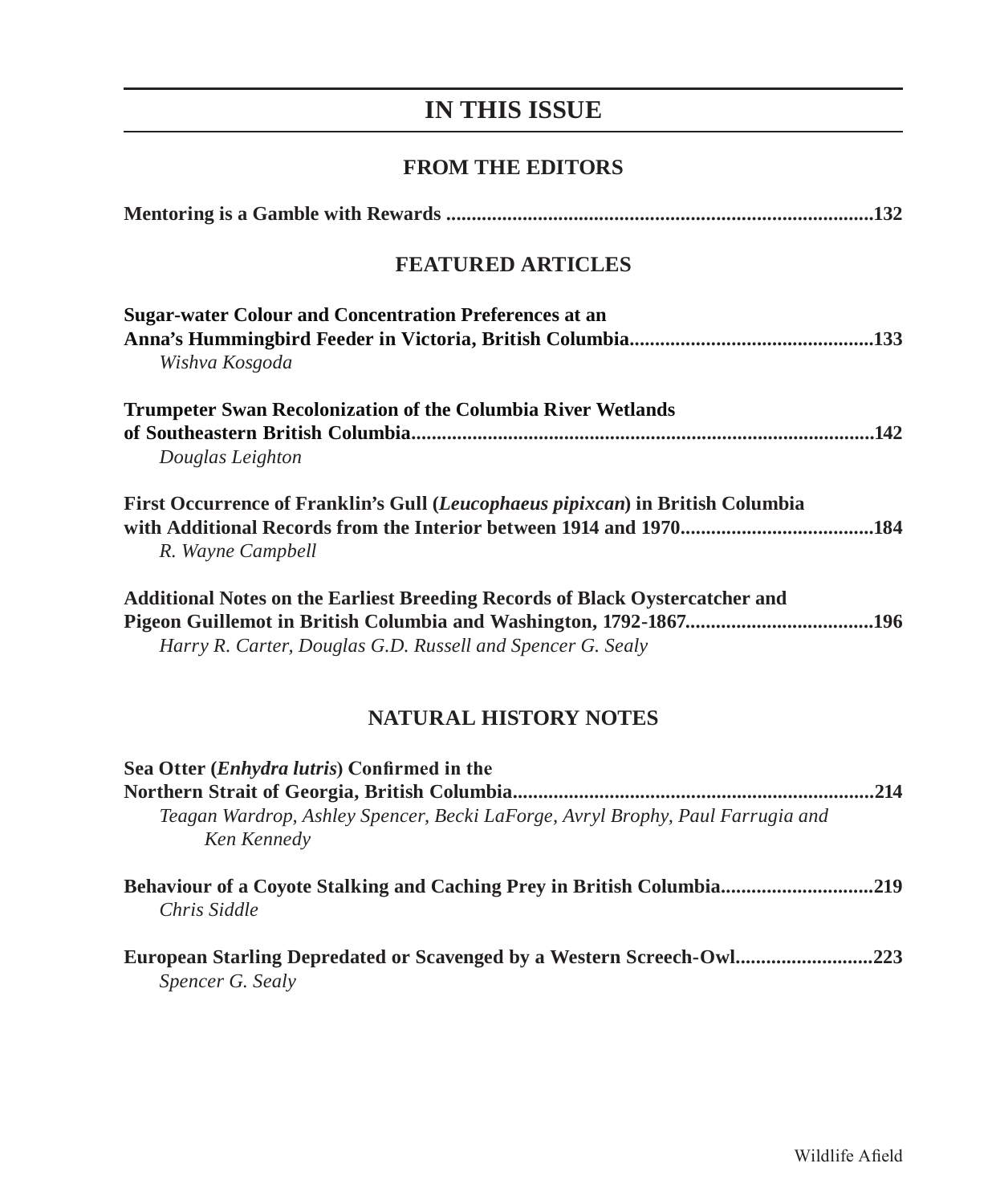# **IN THIS ISSUE**

### **FROM THE EDITORS**

| <b>FEATURED ARTICLES</b>                                                                                                                          |  |
|---------------------------------------------------------------------------------------------------------------------------------------------------|--|
| <b>Sugar-water Colour and Concentration Preferences at an</b><br>Wishva Kosgoda                                                                   |  |
| Trumpeter Swan Recolonization of the Columbia River Wetlands<br>Douglas Leighton                                                                  |  |
| First Occurrence of Franklin's Gull (Leucophaeus pipixcan) in British Columbia<br>R. Wayne Campbell                                               |  |
| <b>Additional Notes on the Earliest Breeding Records of Black Oystercatcher and</b><br>Harry R. Carter, Douglas G.D. Russell and Spencer G. Sealy |  |

## **NATURAL HISTORY NOTES**

| Sea Otter ( <i>Enhydra lutris</i> ) Confirmed in the<br>.214<br>Teagan Wardrop, Ashley Spencer, Becki LaForge, Avryl Brophy, Paul Farrugia and<br>Ken Kennedy |  |
|---------------------------------------------------------------------------------------------------------------------------------------------------------------|--|
| Behaviour of a Coyote Stalking and Caching Prey in British Columbia219<br>Chris Siddle                                                                        |  |
| <b>European Starling Depredated or Scavenged by a Western Screech-Owl223</b><br>Spencer G. Sealy                                                              |  |